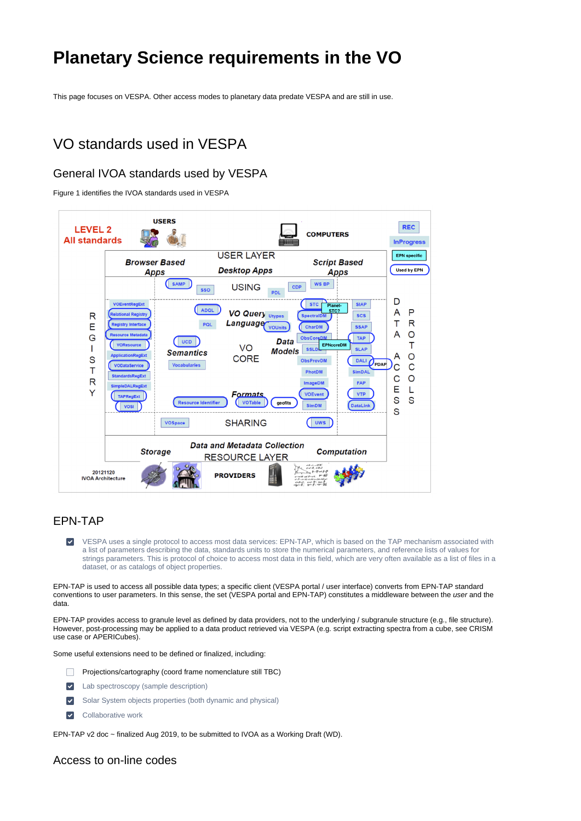# **Planetary Science requirements in the VO**

This page focuses on VESPA. Other access modes to planetary data predate VESPA and are still in use.

## VO standards used in VESPA

## General IVOA standards used by VESPA

Figure 1 identifies the IVOA standards used in VESPA



## EPN-TAP

VESPA uses a single protocol to access most data services: EPN-TAP, which is based on the TAP mechanism associated with  $\blacktriangledown$ a list of parameters describing the data, standards units to store the numerical parameters, and reference lists of values for strings parameters. This is protocol of choice to access most data in this field, which are very often available as a list of files in a dataset, or as catalogs of object properties.

EPN-TAP is used to access all possible data types; a specific client (VESPA portal / user interface) converts from EPN-TAP standard conventions to user parameters. In this sense, the set (VESPA portal and EPN-TAP) constitutes a middleware between the user and the data.

EPN-TAP provides access to granule level as defined by data providers, not to the underlying / subgranule structure (e.g., file structure). However, post-processing may be applied to a data product retrieved via VESPA (e.g. script extracting spectra from a cube, see CRISM use case or APERICubes).

Some useful extensions need to be defined or finalized, including:

- $\Box$ Projections/cartography (coord frame nomenclature still TBC)
- $\blacktriangledown$ Lab spectroscopy (sample description)
- $\overline{\mathsf{v}}$ Solar System objects properties (both dynamic and physical)
- Collaborative work  $\blacktriangledown$

EPN-TAP v2 doc ~ finalized Aug 2019, to be submitted to IVOA as a Working Draft (WD).

#### Access to on-line codes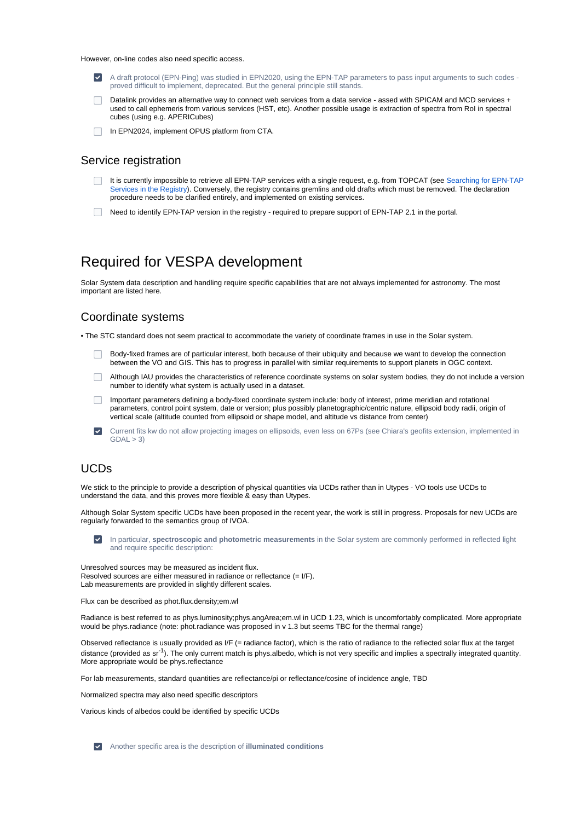However, on-line codes also need specific access.

- A draft protocol (EPN-Ping) was studied in EPN2020, using the EPN-TAP parameters to pass input arguments to such codes proved difficult to implement, deprecated. But the general principle still stands.
- Datalink provides an alternative way to connect web services from a data service assed with SPICAM and MCD services + used to call ephemeris from various services (HST, etc). Another possible usage is extraction of spectra from RoI in spectral cubes (using e.g. APERICubes)
- $\Box$ In EPN2024, implement OPUS platform from CTA.

#### Service registration

- It is currently impossible to retrieve all EPN-TAP services with a single request, e.g. from TOPCAT (see [Searching for EPN-TAP](https://voparis-wiki.obspm.fr/display/VES/Searching+for+EPN-TAP+Services+in+the+Registry)   $\Box$ [Services in the Registry\)](https://voparis-wiki.obspm.fr/display/VES/Searching+for+EPN-TAP+Services+in+the+Registry). Conversely, the registry contains gremlins and old drafts which must be removed. The declaration procedure needs to be clarified entirely, and implemented on existing services.
- Need to identify EPN-TAP version in the registry required to prepare support of EPN-TAP 2.1 in the portal.

## Required for VESPA development

Solar System data description and handling require specific capabilities that are not always implemented for astronomy. The most important are listed here.

#### Coordinate systems

• The STC standard does not seem practical to accommodate the variety of coordinate frames in use in the Solar system.

- Body-fixed frames are of particular interest, both because of their ubiquity and because we want to develop the connection between the VO and GIS. This has to progress in parallel with similar requirements to support planets in OGC context.
- Although IAU provides the characteristics of reference coordinate systems on solar system bodies, they do not include a version number to identify what system is actually used in a dataset.
- Important parameters defining a body-fixed coordinate system include: body of interest, prime meridian and rotational parameters, control point system, date or version; plus possibly planetographic/centric nature, ellipsoid body radii, origin of vertical scale (altitude counted from ellipsoid or shape model, and altitude vs distance from center)
- Current fits kw do not allow projecting images on ellipsoids, even less on 67Ps (see Chiara's geofits extension, implemented in  $GDAL > 3$

## UCDs

We stick to the principle to provide a description of physical quantities via UCDs rather than in Utypes - VO tools use UCDs to understand the data, and this proves more flexible & easy than Utypes.

Although Solar System specific UCDs have been proposed in the recent year, the work is still in progress. Proposals for new UCDs are regularly forwarded to the semantics group of IVOA.

In particular, **spectroscopic and photometric measurements** in the Solar system are commonly performed in reflected light and require specific description:

Unresolved sources may be measured as incident flux. Resolved sources are either measured in radiance or reflectance (= I/F). Lab measurements are provided in slightly different scales.

Flux can be described as phot.flux.density;em.wl

Radiance is best referred to as phys.luminosity;phys.angArea;em.wl in UCD 1.23, which is uncomfortably complicated. More appropriate would be phys.radiance (note: phot.radiance was proposed in v 1.3 but seems TBC for the thermal range)

Observed reflectance is usually provided as I/F (= radiance factor), which is the ratio of radiance to the reflected solar flux at the target distance (provided as  $sr<sup>-1</sup>$ ). The only current match is phys.albedo, which is not very specific and implies a spectrally integrated quantity. More appropriate would be phys.reflectance

For lab measurements, standard quantities are reflectance/pi or reflectance/cosine of incidence angle, TBD

Normalized spectra may also need specific descriptors

Various kinds of albedos could be identified by specific UCDs

Another specific area is the description of **illuminated conditions**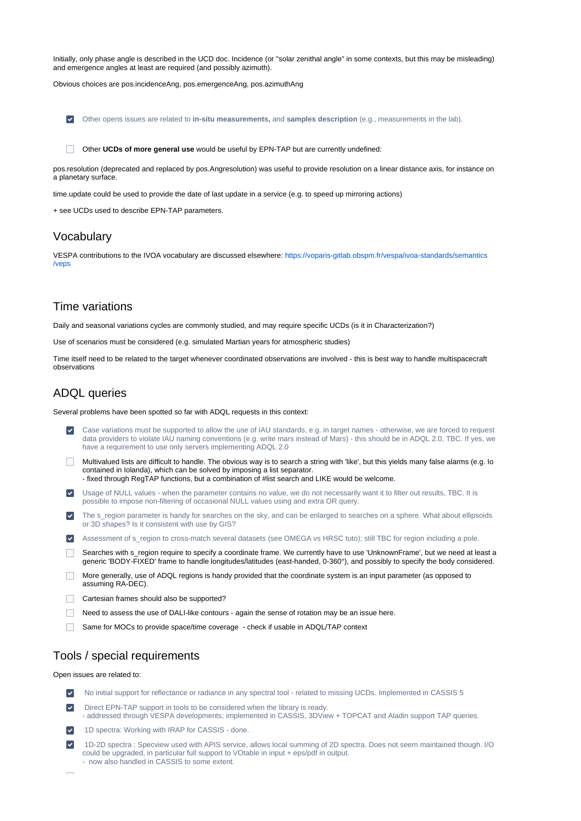Initially, only phase angle is described in the UCD doc. Incidence (or "solar zenithal angle" in some contexts, but this may be misleading) and emergence angles at least are required (and possibly azimuth).

Obvious choices are pos.incidenceAng, pos.emergenceAng, pos.azimuthAng

Other opens issues are related to **in-situ measurements,** and **samples description** (e.g., measurements in the lab).

Other **UCDs of more general use** would be useful by EPN-TAP but are currently undefined:

pos.resolution (deprecated and replaced by pos.Angresolution) was useful to provide resolution on a linear distance axis, for instance on a planetary surface.

time.update could be used to provide the date of last update in a service (e.g. to speed up mirroring actions)

+ see UCDs used to describe EPN-TAP parameters.

#### Vocabulary

VESPA contributions to the IVOA vocabulary are discussed elsewhere: [https://voparis-gitlab.obspm.fr/vespa/ivoa-standards/semantics](https://voparis-gitlab.obspm.fr/vespa/ivoa-standards/semantics/veps) [/veps](https://voparis-gitlab.obspm.fr/vespa/ivoa-standards/semantics/veps)

### Time variations

Daily and seasonal variations cycles are commonly studied, and may require specific UCDs (is it in Characterization?)

Use of scenarios must be considered (e.g. simulated Martian years for atmospheric studies)

Time itself need to be related to the target whenever coordinated observations are involved - this is best way to handle multispacecraft observations

#### ADQL queries

Several problems have been spotted so far with ADQL requests in this context:

- Case variations must be supported to allow the use of IAU standards, e.g. in target names otherwise, we are forced to request data providers to violate IAU naming conventions (e.g. write mars instead of Mars) - this should be in ADQL 2.0, TBC. If yes, we have a requirement to use only servers implementing ADQL 2.0
- Multivalued lists are difficult to handle. The obvious way is to search a string with 'like', but this yields many false alarms (e.g. Io contained in Iolanda), which can be solved by imposing a list separator. - fixed through RegTAP functions, but a combination of #list search and LIKE would be welcome.
- $\blacktriangledown$ Usage of NULL values - when the parameter contains no value, we do not necessarily want it to filter out results, TBC. It is possible to impose non-filtering of occasional NULL values using and extra OR query.
- The s\_region parameter is handy for searches on the sky, and can be enlarged to searches on a sphere. What about ellipsoids  $\overline{\mathbf{v}}$ or 3D shapes? Is it consistent with use by GIS?
- Assessment of s\_region to cross-match several datasets (see OMEGA vs HRSC tuto); still TBC for region including a pole.
- Searches with s\_region require to specify a coordinate frame. We currently have to use 'UnknownFrame', but we need at least a generic 'BODY-FIXED' frame to handle longitudes/latitudes (east-handed, 0-360°), and possibly to specify the body considered.
- More generally, use of ADQL regions is handy provided that the coordinate system is an input parameter (as opposed to assuming RA-DEC).
- Cartesian frames should also be supported?
- Need to assess the use of DALI-like contours again the sense of rotation may be an issue here.
- Same for MOCs to provide space/time coverage check if usable in ADQL/TAP context

### Tools / special requirements

Open issues are related to:

| $\vert\downarrow\vert$ | No initial support for reflectance or radiance in any spectral tool - related to missing UCDs. Implemented in CASSIS 5                                                                                                                                                                                                                                          |
|------------------------|-----------------------------------------------------------------------------------------------------------------------------------------------------------------------------------------------------------------------------------------------------------------------------------------------------------------------------------------------------------------|
| $\blacktriangledown$   | Direct EPN-TAP support in tools to be considered when the library is ready.<br>- addressed through VESPA developments; implemented in CASSIS, 3DView + TOPCAT and Aladin support TAP queries.                                                                                                                                                                   |
|                        | $\overline{10}$ $\overline{10}$ $\overline{11}$ $\overline{11}$ $\overline{11}$ $\overline{10}$ $\overline{10}$ $\overline{10}$ $\overline{10}$ $\overline{10}$ $\overline{10}$ $\overline{10}$ $\overline{10}$ $\overline{10}$ $\overline{10}$ $\overline{10}$ $\overline{10}$ $\overline{10}$ $\overline{10}$ $\overline{10}$ $\overline{10}$ $\overline{10}$ |

- 1D spectra: Working with IRAP for CASSIS done.  $|\vee|$
- 1D-2D spectra : Specview used with APIS service, allows local summing of 2D spectra. Does not seem maintained though. I/O could be upgraded, in particular full support to VOtable in input + eps/pdf in output. - now also handled in CASSIS to some extent.